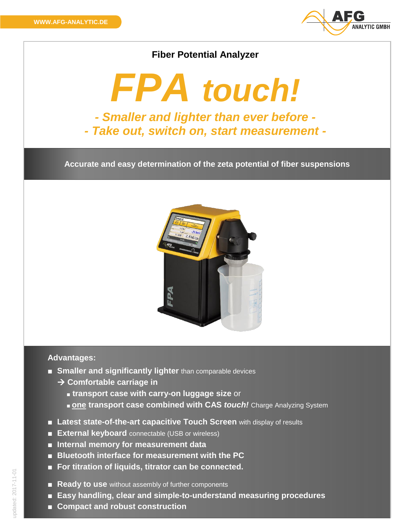

# **Fiber Potential Analyzer**

# *FPA touch! - Smaller and lighter than ever before - - Take out, switch on, start measurement -*

**Accurate and easy determination of the zeta potential of fiber suspensions**



# **Advantages:**

- **Smaller and significantly lighter** than comparable devices
	- **→ Comfortable carriage in** 
		- **■ transport case with carry-on luggage size** or
		- **■ one transport case combined with CAS** *touch!* Charge Analyzing System
- Latest state-of-the-art capacitive Touch Screen with display of results
- **External keyboard** connectable (USB or wireless)
- **■ Internal memory for measurement data**
- **■ Bluetooth interface for measurement with the PC**
- For titration of liquids, titrator can be connected.
- **Ready to use** without assembly of further components
- **■ Easy handling, clear and simple-to-understand measuring procedures**
- **■ Compact and robust construction**